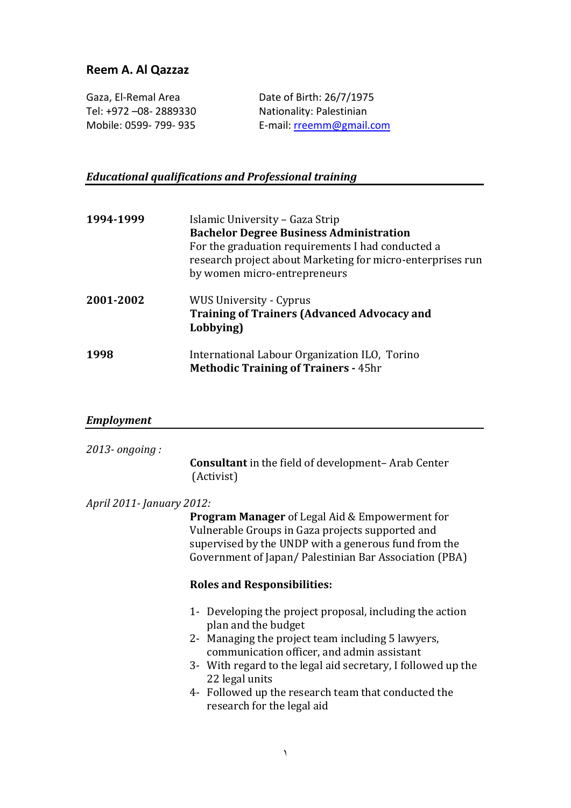## **Reem A. Al Qazzaz**

| Gaza, El-Remal Area    | Date of Birth: 26/7/1975 |
|------------------------|--------------------------|
| Tel: +972 –08- 2889330 | Nationality: Palestinian |
| Mobile: 0599-799-935   | E-mail: rreemm@gmail.com |

# *Educational qualifications and Professional training*

| 1994-1999 | Islamic University – Gaza Strip<br><b>Bachelor Degree Business Administration</b><br>For the graduation requirements I had conducted a<br>research project about Marketing for micro-enterprises run<br>by women micro-entrepreneurs |
|-----------|--------------------------------------------------------------------------------------------------------------------------------------------------------------------------------------------------------------------------------------|
| 2001-2002 | <b>WUS University - Cyprus</b><br><b>Training of Trainers (Advanced Advocacy and</b><br>Lobbying)                                                                                                                                    |
| 1998      | International Labour Organization ILO, Torino<br><b>Methodic Training of Trainers - 45hr</b>                                                                                                                                         |

## *Employment*

| $2013$ - ongoing:          | <b>Consultant</b> in the field of development-Arab Center<br>(Activist)                                                                                                                                                                                                                                                                                   |
|----------------------------|-----------------------------------------------------------------------------------------------------------------------------------------------------------------------------------------------------------------------------------------------------------------------------------------------------------------------------------------------------------|
| April 2011 - January 2012: | <b>Program Manager</b> of Legal Aid & Empowerment for<br>Vulnerable Groups in Gaza projects supported and<br>supervised by the UNDP with a generous fund from the<br>Government of Japan/ Palestinian Bar Association (PBA)<br><b>Roles and Responsibilities:</b>                                                                                         |
|                            | 1- Developing the project proposal, including the action<br>plan and the budget<br>2- Managing the project team including 5 lawyers,<br>communication officer, and admin assistant<br>3- With regard to the legal aid secretary, I followed up the<br>22 legal units<br>4- Followed up the research team that conducted the<br>research for the legal aid |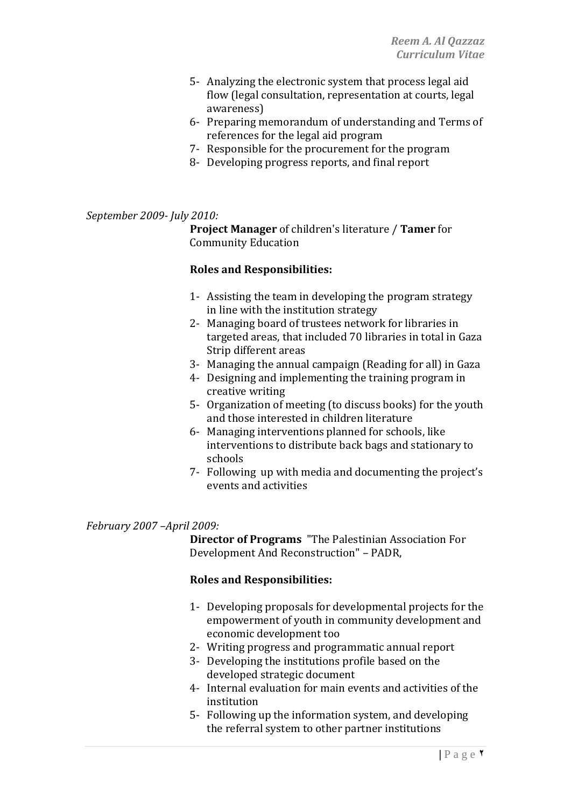- 5- Analyzing the electronic system that process legal aid flow (legal consultation, representation at courts, legal awareness)
- 6- Preparing memorandum of understanding and Terms of references for the legal aid program
- 7- Responsible for the procurement for the program
- 8- Developing progress reports, and final report

#### *September 2009- July 2010:*

**Project Manager** of children's literature / **Tamer** for Community Education

#### **Roles and Responsibilities:**

- 1- Assisting the team in developing the program strategy in line with the institution strategy
- 2- Managing board of trustees network for libraries in targeted areas, that included 70 libraries in total in Gaza Strip different areas
- 3- Managing the annual campaign (Reading for all) in Gaza
- 4- Designing and implementing the training program in creative writing
- 5- Organization of meeting (to discuss books) for the youth and those interested in children literature
- 6- Managing interventions planned for schools, like interventions to distribute back bags and stationary to schools
- 7- Following up with media and documenting the project's events and activities

#### *February 2007 –April 2009:*

**Director of Programs** "The Palestinian Association For Development And Reconstruction" – PADR,

#### **Roles and Responsibilities:**

- 1- Developing proposals for developmental projects for the empowerment of youth in community development and economic development too
- 2- Writing progress and programmatic annual report
- 3- Developing the institutions profile based on the developed strategic document
- 4- Internal evaluation for main events and activities of the institution
- 5- Following up the information system, and developing the referral system to other partner institutions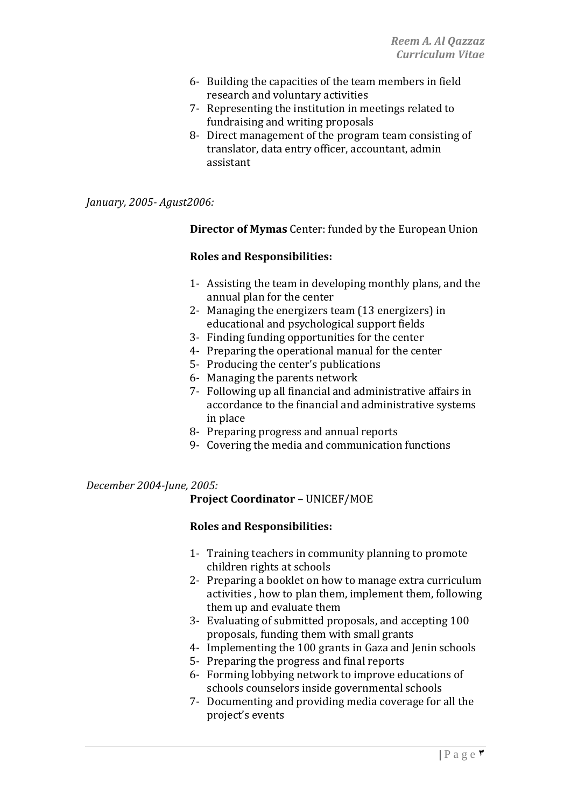- 6- Building the capacities of the team members in field research and voluntary activities
- 7- Representing the institution in meetings related to fundraising and writing proposals
- 8- Direct management of the program team consisting of translator, data entry officer, accountant, admin assistant

*January, 2005- Agust2006:*

**Director of Mymas** Center: funded by the European Union

#### **Roles and Responsibilities:**

- 1- Assisting the team in developing monthly plans, and the annual plan for the center
- 2- Managing the energizers team (13 energizers) in educational and psychological support fields
- 3- Finding funding opportunities for the center
- 4- Preparing the operational manual for the center
- 5- Producing the center's publications
- 6- Managing the parents network
- 7- Following up all financial and administrative affairs in accordance to the financial and administrative systems in place
- 8- Preparing progress and annual reports
- 9- Covering the media and communication functions

*December 2004-June, 2005:*

#### **Project Coordinator** – UNICEF/MOE

#### **Roles and Responsibilities:**

- 1- Training teachers in community planning to promote children rights at schools
- 2- Preparing a booklet on how to manage extra curriculum activities , how to plan them, implement them, following them up and evaluate them
- 3- Evaluating of submitted proposals, and accepting 100 proposals, funding them with small grants
- 4- Implementing the 100 grants in Gaza and Jenin schools
- 5- Preparing the progress and final reports
- 6- Forming lobbying network to improve educations of schools counselors inside governmental schools
- 7- Documenting and providing media coverage for all the project's events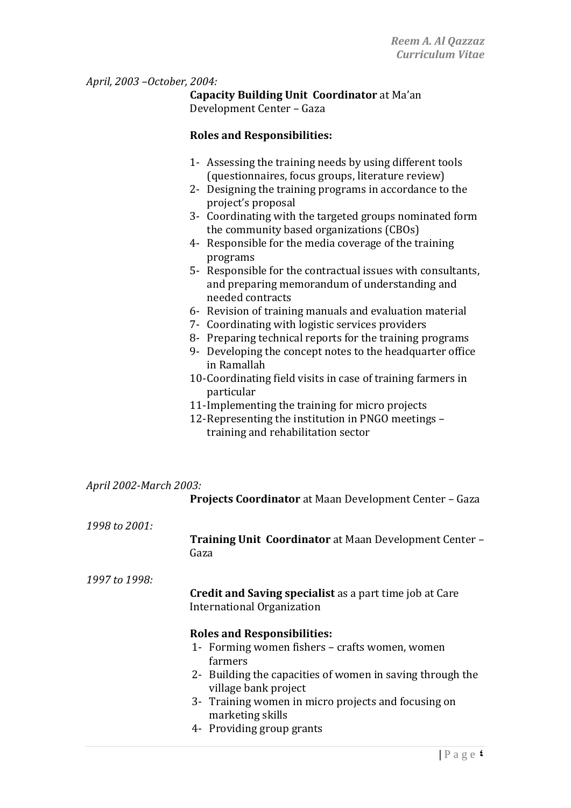### *April, 2003 –October, 2004:*

**Capacity Building Unit Coordinator** at Ma'an Development Center – Gaza

#### **Roles and Responsibilities:**

- 1- Assessing the training needs by using different tools (questionnaires, focus groups, literature review)
- 2- Designing the training programs in accordance to the project's proposal
- 3- Coordinating with the targeted groups nominated form the community based organizations (CBOs)
- 4- Responsible for the media coverage of the training programs
- 5- Responsible for the contractual issues with consultants, and preparing memorandum of understanding and needed contracts
- 6- Revision of training manuals and evaluation material
- 7- Coordinating with logistic services providers
- 8- Preparing technical reports for the training programs
- 9- Developing the concept notes to the headquarter office in Ramallah
- 10-Coordinating field visits in case of training farmers in particular
- 11-Implementing the training for micro projects
- 12-Representing the institution in PNGO meetings training and rehabilitation sector

| April 2002-March 2003: |                                                                                       |
|------------------------|---------------------------------------------------------------------------------------|
|                        | Projects Coordinator at Maan Development Center - Gaza                                |
| 1998 to 2001:          |                                                                                       |
|                        | <b>Training Unit Coordinator</b> at Maan Development Center -<br>Gaza                 |
| 1997 to 1998:          |                                                                                       |
|                        | Credit and Saving specialist as a part time job at Care<br>International Organization |
|                        | <b>Roles and Responsibilities:</b>                                                    |
|                        | 1- Forming women fishers – crafts women, women<br>farmers                             |
|                        | 2- Building the capacities of women in saving through the<br>village bank project     |
|                        | 3- Training women in micro projects and focusing on<br>marketing skills               |
|                        | 4- Providing group grants                                                             |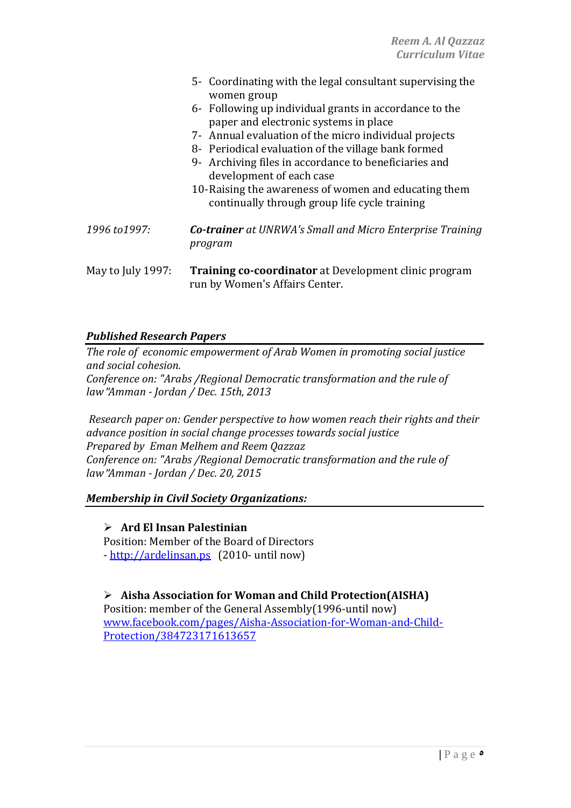|                   | 5- Coordinating with the legal consultant supervising the<br>women group                                                                                                                                                                                                                                                                                                                                      |
|-------------------|---------------------------------------------------------------------------------------------------------------------------------------------------------------------------------------------------------------------------------------------------------------------------------------------------------------------------------------------------------------------------------------------------------------|
|                   | 6- Following up individual grants in accordance to the<br>paper and electronic systems in place<br>7- Annual evaluation of the micro individual projects<br>8- Periodical evaluation of the village bank formed<br>9- Archiving files in accordance to beneficiaries and<br>development of each case<br>10-Raising the awareness of women and educating them<br>continually through group life cycle training |
| 1996 to 1997:     | <b>Co-trainer</b> at UNRWA's Small and Micro Enterprise Training<br>program                                                                                                                                                                                                                                                                                                                                   |
| May to July 1997: | <b>Training co-coordinator</b> at Development clinic program<br>run by Women's Affairs Center.                                                                                                                                                                                                                                                                                                                |

### *Published Research Papers*

*The role of economic empowerment of Arab Women in promoting social justice and social cohesion. Conference on: "Arabs /Regional Democratic transformation and the rule of law*"*Amman - Jordan / Dec. 15th, 2013*

*Research paper on: Gender perspective to how women reach their rights and their advance position in social change processes towards social justice Prepared by Eman Melhem and Reem Qazzaz Conference on: "Arabs /Regional Democratic transformation and the rule of law*"*Amman - Jordan / Dec. 20, 2015*

#### *Membership in Civil Society Organizations:*

 **Ard El Insan Palestinian** Position: Member of the Board of Directors - [http://ardelinsan.ps](http://ardelinsan.ps/) (2010- until now)

 **Aisha Association for Woman and Child Protection(AISHA)** Position: member of the General Assembly(1996-until now) [www.facebook.com/pages/Aisha-Association-for-Woman-and-Child-](http://www.facebook.com/pages/Aisha-Association-for-Woman-and-Child-Protection/384723171613657)[Protection/384723171613657](http://www.facebook.com/pages/Aisha-Association-for-Woman-and-Child-Protection/384723171613657)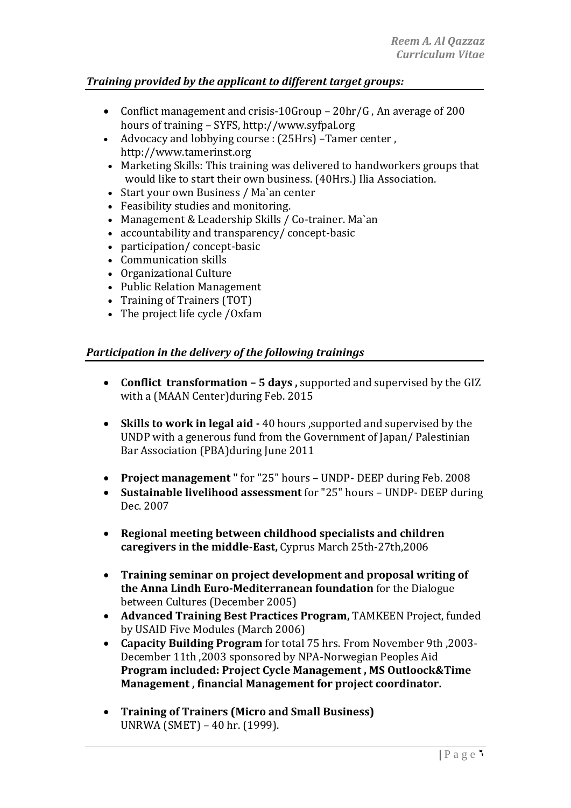## *Training provided by the applicant to different target groups:*

- Conflict management and crisis-10Group 20hr/G , An average of 200 hours of training – SYFS, http://www.syfpal.org
- Advocacy and lobbying course : (25Hrs) –Tamer center , http://www.tamerinst.org
- Marketing Skills: This training was delivered to handworkers groups that would like to start their own business. (40Hrs.) Ilia Association.
- Start your own Business / Ma'an center
- Feasibility studies and monitoring.
- Management & Leadership Skills / Co-trainer. Ma`an
- accountability and transparency/ concept-basic
- participation/ concept-basic
- Communication skills
- Organizational Culture
- Public Relation Management
- Training of Trainers (TOT)
- The project life cycle /Oxfam

## *Participation in the delivery of the following trainings*

- **Conflict transformation – 5 days ,** supported and supervised by the GIZ with a (MAAN Center)during Feb. 2015
- **Skills to work in legal aid -** 40 hours ,supported and supervised by the UNDP with a generous fund from the Government of Japan/ Palestinian Bar Association (PBA)during June 2011
- **Project management "** for "25" hours UNDP- DEEP during Feb. 2008
- **Sustainable livelihood assessment** for "25" hours UNDP- DEEP during Dec. 2007
- **Regional meeting between childhood specialists and children caregivers in the middle-East,** Cyprus March 25th-27th,2006
- **Training seminar on project development and proposal writing of the Anna Lindh Euro-Mediterranean foundation** for the Dialogue between Cultures (December 2005)
- **Advanced Training Best Practices Program,** TAMKEEN Project, funded by USAID Five Modules (March 2006)
- **Capacity Building Program** for total 75 hrs. From November 9th ,2003- December 11th ,2003 sponsored by NPA-Norwegian Peoples Aid **Program included: Project Cycle Management , MS Outloock&Time Management , financial Management for project coordinator.**
- **Training of Trainers (Micro and Small Business)** UNRWA (SMET) – 40 hr. (1999).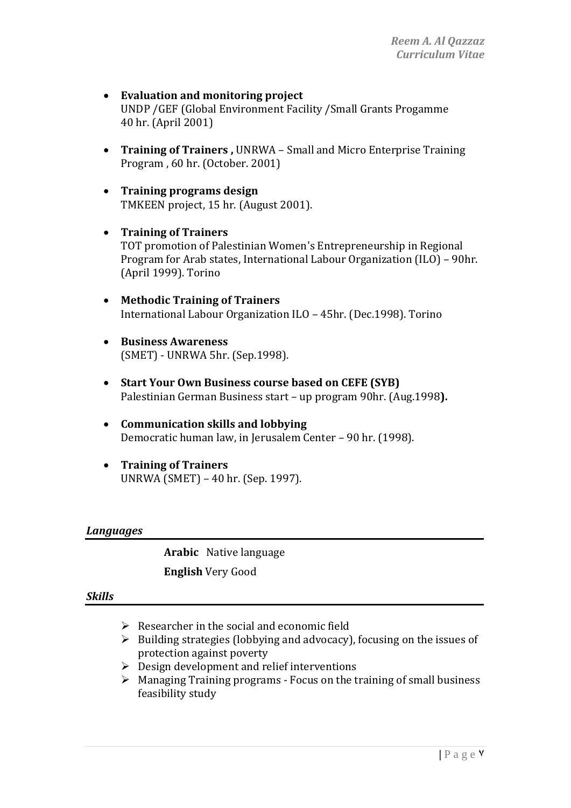- **Evaluation and monitoring project**  UNDP /GEF (Global Environment Facility /Small Grants Progamme 40 hr. (April 2001)
- **Training of Trainers ,** UNRWA Small and Micro Enterprise Training Program , 60 hr. (October. 2001)
- **Training programs design** TMKEEN project, 15 hr. (August 2001).
- **Training of Trainers** TOT promotion of Palestinian Women's Entrepreneurship in Regional Program for Arab states, International Labour Organization (ILO) – 90hr. (April 1999). Torino
- **Methodic Training of Trainers**  International Labour Organization ILO – 45hr. (Dec.1998). Torino
- **Business Awareness**  (SMET) - UNRWA 5hr. (Sep.1998).
- **Start Your Own Business course based on CEFE (SYB)**  Palestinian German Business start – up program 90hr. (Aug.1998**).**
- **Communication skills and lobbying** Democratic human law, in Jerusalem Center – 90 hr. (1998).
- **Training of Trainers** UNRWA (SMET) – 40 hr. (Sep. 1997).

#### *Languages*

**Arabic** Native language **English** Very Good

#### *Skills*

- $\triangleright$  Researcher in the social and economic field
- $\triangleright$  Building strategies (lobbying and advocacy), focusing on the issues of protection against poverty
- $\triangleright$  Design development and relief interventions
- $\triangleright$  Managing Training programs Focus on the training of small business feasibility study